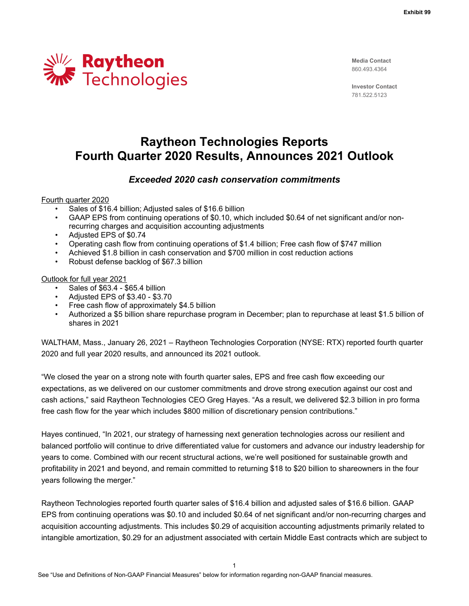

**Media Contact** 860.493.4364

**Investor Contact** 781.522.5123

# **Raytheon Technologies Reports Fourth Quarter 2020 Results, Announces 2021 Outlook**

## *Exceeded 2020 cash conservation commitments*

Fourth quarter 2020

- Sales of \$16.4 billion; Adjusted sales of \$16.6 billion
- GAAP EPS from continuing operations of \$0.10, which included \$0.64 of net significant and/or nonrecurring charges and acquisition accounting adjustments
- Adjusted EPS of \$0.74
- Operating cash flow from continuing operations of \$1.4 billion; Free cash flow of \$747 million
- Achieved \$1.8 billion in cash conservation and \$700 million in cost reduction actions
- Robust defense backlog of \$67.3 billion

Outlook for full year 2021

- Sales of \$63.4 \$65.4 billion
- Adjusted EPS of \$3.40 \$3.70
- Free cash flow of approximately \$4.5 billion
- Authorized a \$5 billion share repurchase program in December; plan to repurchase at least \$1.5 billion of shares in 2021

WALTHAM, Mass., January 26, 2021 – Raytheon Technologies Corporation (NYSE: RTX) reported fourth quarter 2020 and full year 2020 results, and announced its 2021 outlook.

"We closed the year on a strong note with fourth quarter sales, EPS and free cash flow exceeding our expectations, as we delivered on our customer commitments and drove strong execution against our cost and cash actions," said Raytheon Technologies CEO Greg Hayes. "As a result, we delivered \$2.3 billion in pro forma free cash flow for the year which includes \$800 million of discretionary pension contributions."

Hayes continued, "In 2021, our strategy of harnessing next generation technologies across our resilient and balanced portfolio will continue to drive differentiated value for customers and advance our industry leadership for years to come. Combined with our recent structural actions, we're well positioned for sustainable growth and profitability in 2021 and beyond, and remain committed to returning \$18 to \$20 billion to shareowners in the four years following the merger."

Raytheon Technologies reported fourth quarter sales of \$16.4 billion and adjusted sales of \$16.6 billion. GAAP EPS from continuing operations was \$0.10 and included \$0.64 of net significant and/or non-recurring charges and acquisition accounting adjustments. This includes \$0.29 of acquisition accounting adjustments primarily related to intangible amortization, \$0.29 for an adjustment associated with certain Middle East contracts which are subject to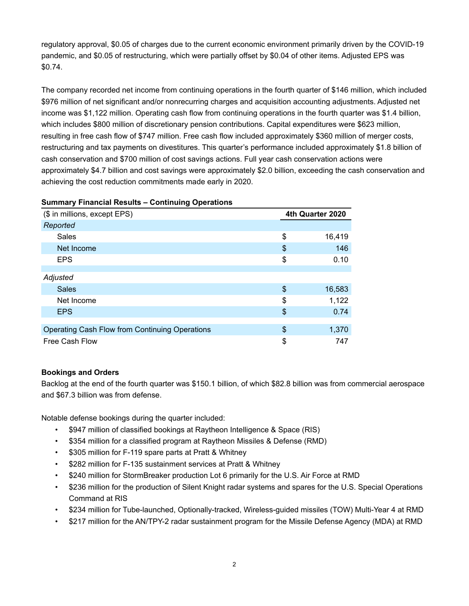regulatory approval, \$0.05 of charges due to the current economic environment primarily driven by the COVID-19 pandemic, and \$0.05 of restructuring, which were partially offset by \$0.04 of other items. Adjusted EPS was \$0.74.

The company recorded net income from continuing operations in the fourth quarter of \$146 million, which included \$976 million of net significant and/or nonrecurring charges and acquisition accounting adjustments. Adjusted net income was \$1,122 million. Operating cash flow from continuing operations in the fourth quarter was \$1.4 billion, which includes \$800 million of discretionary pension contributions. Capital expenditures were \$623 million, resulting in free cash flow of \$747 million. Free cash flow included approximately \$360 million of merger costs, restructuring and tax payments on divestitures. This quarter's performance included approximately \$1.8 billion of cash conservation and \$700 million of cost savings actions. Full year cash conservation actions were approximately \$4.7 billion and cost savings were approximately \$2.0 billion, exceeding the cash conservation and achieving the cost reduction commitments made early in 2020.

# **Summary Financial Results – Continuing Operations**

| (\$ in millions, except EPS)                   | 4th Quarter 2020 |
|------------------------------------------------|------------------|
| Reported                                       |                  |
| Sales                                          | \$<br>16,419     |
| Net Income                                     | \$<br>146        |
| <b>EPS</b>                                     | \$<br>0.10       |
|                                                |                  |
| Adjusted                                       |                  |
| <b>Sales</b>                                   | \$<br>16,583     |
| Net Income                                     | \$<br>1,122      |
| <b>EPS</b>                                     | \$<br>0.74       |
|                                                |                  |
| Operating Cash Flow from Continuing Operations | \$<br>1,370      |
| Free Cash Flow                                 | \$<br>747        |

#### **Bookings and Orders**

Backlog at the end of the fourth quarter was \$150.1 billion, of which \$82.8 billion was from commercial aerospace and \$67.3 billion was from defense.

Notable defense bookings during the quarter included:

- \$947 million of classified bookings at Raytheon Intelligence & Space (RIS)
- \$354 million for a classified program at Raytheon Missiles & Defense (RMD)
- \$305 million for F-119 spare parts at Pratt & Whitney
- \$282 million for F-135 sustainment services at Pratt & Whitney
- \$240 million for StormBreaker production Lot 6 primarily for the U.S. Air Force at RMD
- \$236 million for the production of Silent Knight radar systems and spares for the U.S. Special Operations Command at RIS
- \$234 million for Tube-launched, Optionally-tracked, Wireless-guided missiles (TOW) Multi-Year 4 at RMD
- \$217 million for the AN/TPY-2 radar sustainment program for the Missile Defense Agency (MDA) at RMD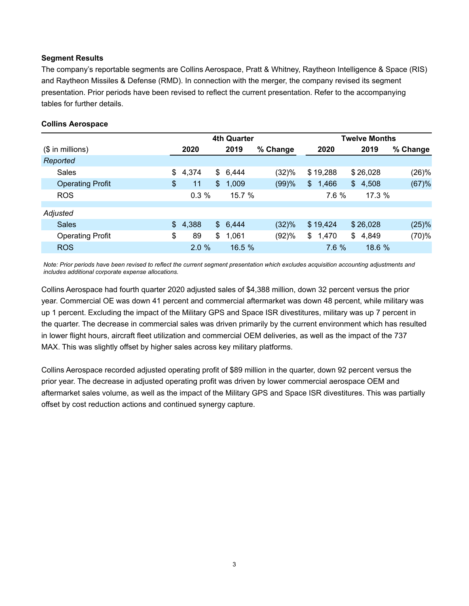#### **Segment Results**

The company's reportable segments are Collins Aerospace, Pratt & Whitney, Raytheon Intelligence & Space (RIS) and Raytheon Missiles & Defense (RMD). In connection with the merger, the company revised its segment presentation. Prior periods have been revised to reflect the current presentation. Refer to the accompanying tables for further details.

|                         | <b>4th Quarter</b> |    |           |          |             | <b>Twelve Months</b> |          |
|-------------------------|--------------------|----|-----------|----------|-------------|----------------------|----------|
| $($$ in millions)       | 2020               |    | 2019      | % Change | 2020        | 2019                 | % Change |
| Reported                |                    |    |           |          |             |                      |          |
| Sales                   | \$<br>4,374        | \$ | 6,444     | (32)%    | \$19,288    | \$26,028             | (26)%    |
| <b>Operating Profit</b> | \$<br>11           | \$ | 1,009     | (99)%    | \$<br>1,466 | \$<br>4,508          | (67)%    |
| <b>ROS</b>              | 0.3%               |    | $15.7 \%$ |          | 7.6 %       | 17.3%                |          |
|                         |                    |    |           |          |             |                      |          |
| Adjusted                |                    |    |           |          |             |                      |          |
| <b>Sales</b>            | \$<br>4,388        | S. | 6,444     | (32)%    | \$19,424    | \$26,028             | (25)%    |
| <b>Operating Profit</b> | \$<br>89           | \$ | 1,061     | (92)%    | \$<br>1,470 | \$<br>4,849          | (70)%    |
| <b>ROS</b>              | 2.0%               |    | 16.5 %    |          | 7.6 %       | 18.6 %               |          |

*Note: Prior periods have been revised to reflect the current segment presentation which excludes acquisition accounting adjustments and includes additional corporate expense allocations.*

Collins Aerospace had fourth quarter 2020 adjusted sales of \$4,388 million, down 32 percent versus the prior year. Commercial OE was down 41 percent and commercial aftermarket was down 48 percent, while military was up 1 percent. Excluding the impact of the Military GPS and Space ISR divestitures, military was up 7 percent in the quarter. The decrease in commercial sales was driven primarily by the current environment which has resulted in lower flight hours, aircraft fleet utilization and commercial OEM deliveries, as well as the impact of the 737 MAX. This was slightly offset by higher sales across key military platforms.

Collins Aerospace recorded adjusted operating profit of \$89 million in the quarter, down 92 percent versus the prior year. The decrease in adjusted operating profit was driven by lower commercial aerospace OEM and aftermarket sales volume, as well as the impact of the Military GPS and Space ISR divestitures. This was partially offset by cost reduction actions and continued synergy capture.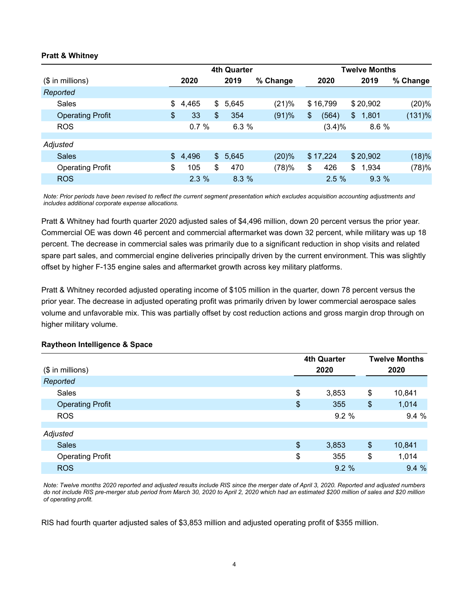#### **Pratt & Whitney**

|                         | <b>4th Quarter</b> |    |       |          |    | <b>Twelve Months</b> |    |          |  |          |  |
|-------------------------|--------------------|----|-------|----------|----|----------------------|----|----------|--|----------|--|
| $($$ in millions)       | 2020               |    | 2019  | % Change |    | 2020                 |    | 2019     |  | % Change |  |
| Reported                |                    |    |       |          |    |                      |    |          |  |          |  |
| Sales                   | \$<br>4,465        | \$ | 5,645 | (21)%    |    | \$16,799             |    | \$20,902 |  | (20)%    |  |
| <b>Operating Profit</b> | \$<br>33           | \$ | 354   | (91)%    | \$ | (564)                | \$ | 1,801    |  | (131)%   |  |
| <b>ROS</b>              | 0.7%               |    | 6.3%  |          |    | (3.4)%               |    | 8.6 %    |  |          |  |
|                         |                    |    |       |          |    |                      |    |          |  |          |  |
| Adjusted                |                    |    |       |          |    |                      |    |          |  |          |  |
| <b>Sales</b>            | \$<br>4,496        | \$ | 5,645 | (20)%    |    | \$17,224             |    | \$20,902 |  | (18)%    |  |
| <b>Operating Profit</b> | \$<br>105          | \$ | 470   | (78)%    | \$ | 426                  | \$ | 1,934    |  | (78)%    |  |
| <b>ROS</b>              | 2.3%               |    | 8.3%  |          |    | 2.5%                 |    | 9.3%     |  |          |  |

*Note: Prior periods have been revised to reflect the current segment presentation which excludes acquisition accounting adjustments and includes additional corporate expense allocations.*

Pratt & Whitney had fourth quarter 2020 adjusted sales of \$4,496 million, down 20 percent versus the prior year. Commercial OE was down 46 percent and commercial aftermarket was down 32 percent, while military was up 18 percent. The decrease in commercial sales was primarily due to a significant reduction in shop visits and related spare part sales, and commercial engine deliveries principally driven by the current environment. This was slightly offset by higher F-135 engine sales and aftermarket growth across key military platforms.

Pratt & Whitney recorded adjusted operating income of \$105 million in the quarter, down 78 percent versus the prior year. The decrease in adjusted operating profit was primarily driven by lower commercial aerospace sales volume and unfavorable mix. This was partially offset by cost reduction actions and gross margin drop through on higher military volume.

|                         | <b>4th Quarter</b>        |       |    |        |
|-------------------------|---------------------------|-------|----|--------|
| $($$ in millions)       |                           | 2020  |    | 2020   |
| Reported                |                           |       |    |        |
| <b>Sales</b>            | \$                        | 3,853 | \$ | 10,841 |
| <b>Operating Profit</b> | $\boldsymbol{\mathsf{S}}$ | 355   | \$ | 1,014  |
| <b>ROS</b>              |                           | 9.2%  |    | 9.4%   |
| Adjusted                |                           |       |    |        |
| <b>Sales</b>            | $\frac{1}{2}$             | 3,853 | \$ | 10,841 |
| <b>Operating Profit</b> | \$                        | 355   | \$ | 1,014  |
| <b>ROS</b>              |                           | 9.2%  |    | 9.4%   |

#### **Raytheon Intelligence & Space**

*Note: Twelve months 2020 reported and adjusted results include RIS since the merger date of April 3, 2020. Reported and adjusted numbers do not include RIS pre-merger stub period from March 30, 2020 to April 2, 2020 which had an estimated \$200 million of sales and \$20 million of operating profit.* 

RIS had fourth quarter adjusted sales of \$3,853 million and adjusted operating profit of \$355 million.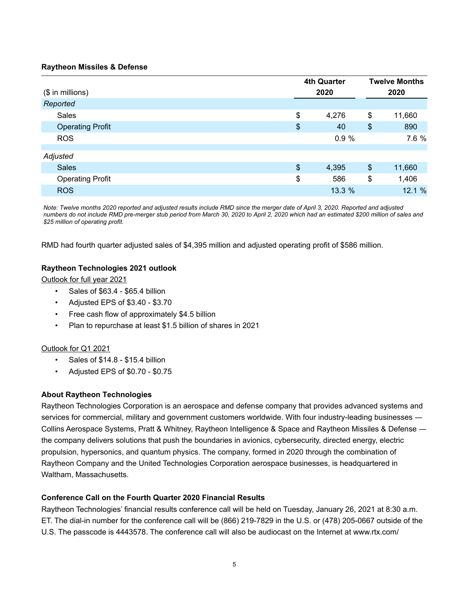#### **Raytheon Missiles & Defense**

|                         |               | <b>4th Quarter</b> |               | <b>Twelve Months</b> |
|-------------------------|---------------|--------------------|---------------|----------------------|
| (\$ in millions)        |               | 2020               |               | 2020                 |
| Reported                |               |                    |               |                      |
| Sales                   | \$            | 4,276              | \$            | 11,660               |
| <b>Operating Profit</b> | \$            | 40                 | $\frac{1}{2}$ | 890                  |
| <b>ROS</b>              |               | 0.9%               |               | 7.6 %                |
|                         |               |                    |               |                      |
| Adjusted                |               |                    |               |                      |
| <b>Sales</b>            | $\frac{1}{2}$ | 4,395              | $\frac{3}{2}$ | 11,660               |
| <b>Operating Profit</b> | \$            | 586                | \$            | 1,406                |
| <b>ROS</b>              |               | 13.3 %             |               | 12.1%                |

*Note: Twelve months 2020 reported and adjusted results include RMD since the merger date of April 3, 2020. Reported and adjusted numbers do not include RMD pre-merger stub period from March 30, 2020 to April 2, 2020 which had an estimated \$200 million of sales and \$25 million of operating profit.* 

RMD had fourth quarter adjusted sales of \$4,395 million and adjusted operating profit of \$586 million.

#### **Raytheon Technologies 2021 outlook**

Outlook for full year 2021

- Sales of \$63.4 \$65.4 billion
- Adjusted EPS of \$3.40 \$3.70
- Free cash flow of approximately \$4.5 billion
- Plan to repurchase at least \$1.5 billion of shares in 2021

#### Outlook for Q1 2021

- Sales of \$14.8 \$15.4 billion
- Adjusted EPS of \$0.70 \$0.75

#### **About Raytheon Technologies**

Raytheon Technologies Corporation is an aerospace and defense company that provides advanced systems and services for commercial, military and government customers worldwide. With four industry-leading businesses ― Collins Aerospace Systems, Pratt & Whitney, Raytheon Intelligence & Space and Raytheon Missiles & Defense ― the company delivers solutions that push the boundaries in avionics, cybersecurity, directed energy, electric propulsion, hypersonics, and quantum physics. The company, formed in 2020 through the combination of Raytheon Company and the United Technologies Corporation aerospace businesses, is headquartered in Waltham, Massachusetts.

#### **Conference Call on the Fourth Quarter 2020 Financial Results**

Raytheon Technologies' financial results conference call will be held on Tuesday, January 26, 2021 at 8:30 a.m. ET. The dial-in number for the conference call will be (866) 219-7829 in the U.S. or (478) 205-0667 outside of the U.S. The passcode is 4443578. The conference call will also be audiocast on the Internet at www.rtx.com/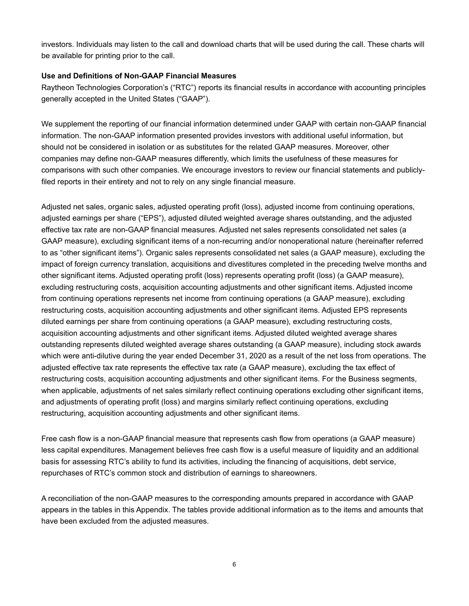investors. Individuals may listen to the call and download charts that will be used during the call. These charts will be available for printing prior to the call.

#### **Use and Definitions of Non-GAAP Financial Measures**

Raytheon Technologies Corporation's ("RTC") reports its financial results in accordance with accounting principles generally accepted in the United States ("GAAP").

We supplement the reporting of our financial information determined under GAAP with certain non-GAAP financial information. The non-GAAP information presented provides investors with additional useful information, but should not be considered in isolation or as substitutes for the related GAAP measures. Moreover, other companies may define non-GAAP measures differently, which limits the usefulness of these measures for comparisons with such other companies. We encourage investors to review our financial statements and publiclyfiled reports in their entirety and not to rely on any single financial measure.

Adjusted net sales, organic sales, adjusted operating profit (loss), adjusted income from continuing operations, adjusted earnings per share ("EPS"), adjusted diluted weighted average shares outstanding, and the adjusted effective tax rate are non-GAAP financial measures. Adjusted net sales represents consolidated net sales (a GAAP measure), excluding significant items of a non-recurring and/or nonoperational nature (hereinafter referred to as "other significant items"). Organic sales represents consolidated net sales (a GAAP measure), excluding the impact of foreign currency translation, acquisitions and divestitures completed in the preceding twelve months and other significant items. Adjusted operating profit (loss) represents operating profit (loss) (a GAAP measure), excluding restructuring costs, acquisition accounting adjustments and other significant items. Adjusted income from continuing operations represents net income from continuing operations (a GAAP measure), excluding restructuring costs, acquisition accounting adjustments and other significant items. Adjusted EPS represents diluted earnings per share from continuing operations (a GAAP measure), excluding restructuring costs, acquisition accounting adjustments and other significant items. Adjusted diluted weighted average shares outstanding represents diluted weighted average shares outstanding (a GAAP measure), including stock awards which were anti-dilutive during the year ended December 31, 2020 as a result of the net loss from operations. The adjusted effective tax rate represents the effective tax rate (a GAAP measure), excluding the tax effect of restructuring costs, acquisition accounting adjustments and other significant items. For the Business segments, when applicable, adjustments of net sales similarly reflect continuing operations excluding other significant items, and adjustments of operating profit (loss) and margins similarly reflect continuing operations, excluding restructuring, acquisition accounting adjustments and other significant items.

Free cash flow is a non-GAAP financial measure that represents cash flow from operations (a GAAP measure) less capital expenditures. Management believes free cash flow is a useful measure of liquidity and an additional basis for assessing RTC's ability to fund its activities, including the financing of acquisitions, debt service, repurchases of RTC's common stock and distribution of earnings to shareowners.

A reconciliation of the non-GAAP measures to the corresponding amounts prepared in accordance with GAAP appears in the tables in this Appendix. The tables provide additional information as to the items and amounts that have been excluded from the adjusted measures.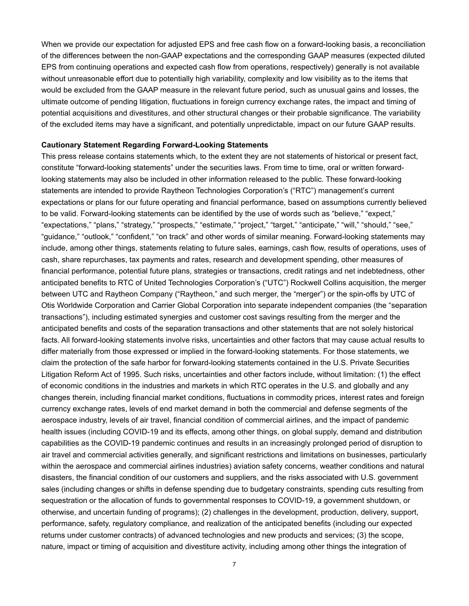When we provide our expectation for adjusted EPS and free cash flow on a forward-looking basis, a reconciliation of the differences between the non-GAAP expectations and the corresponding GAAP measures (expected diluted EPS from continuing operations and expected cash flow from operations, respectively) generally is not available without unreasonable effort due to potentially high variability, complexity and low visibility as to the items that would be excluded from the GAAP measure in the relevant future period, such as unusual gains and losses, the ultimate outcome of pending litigation, fluctuations in foreign currency exchange rates, the impact and timing of potential acquisitions and divestitures, and other structural changes or their probable significance. The variability of the excluded items may have a significant, and potentially unpredictable, impact on our future GAAP results.

#### **Cautionary Statement Regarding Forward-Looking Statements**

This press release contains statements which, to the extent they are not statements of historical or present fact, constitute "forward-looking statements" under the securities laws. From time to time, oral or written forwardlooking statements may also be included in other information released to the public. These forward-looking statements are intended to provide Raytheon Technologies Corporation's ("RTC") management's current expectations or plans for our future operating and financial performance, based on assumptions currently believed to be valid. Forward-looking statements can be identified by the use of words such as "believe," "expect," "expectations," "plans," "strategy," "prospects," "estimate," "project," "target," "anticipate," "will," "should," "see," "guidance," "outlook," "confident," "on track" and other words of similar meaning. Forward-looking statements may include, among other things, statements relating to future sales, earnings, cash flow, results of operations, uses of cash, share repurchases, tax payments and rates, research and development spending, other measures of financial performance, potential future plans, strategies or transactions, credit ratings and net indebtedness, other anticipated benefits to RTC of United Technologies Corporation's ("UTC") Rockwell Collins acquisition, the merger between UTC and Raytheon Company ("Raytheon," and such merger, the "merger") or the spin-offs by UTC of Otis Worldwide Corporation and Carrier Global Corporation into separate independent companies (the "separation transactions"), including estimated synergies and customer cost savings resulting from the merger and the anticipated benefits and costs of the separation transactions and other statements that are not solely historical facts. All forward-looking statements involve risks, uncertainties and other factors that may cause actual results to differ materially from those expressed or implied in the forward-looking statements. For those statements, we claim the protection of the safe harbor for forward-looking statements contained in the U.S. Private Securities Litigation Reform Act of 1995. Such risks, uncertainties and other factors include, without limitation: (1) the effect of economic conditions in the industries and markets in which RTC operates in the U.S. and globally and any changes therein, including financial market conditions, fluctuations in commodity prices, interest rates and foreign currency exchange rates, levels of end market demand in both the commercial and defense segments of the aerospace industry, levels of air travel, financial condition of commercial airlines, and the impact of pandemic health issues (including COVID-19 and its effects, among other things, on global supply, demand and distribution capabilities as the COVID-19 pandemic continues and results in an increasingly prolonged period of disruption to air travel and commercial activities generally, and significant restrictions and limitations on businesses, particularly within the aerospace and commercial airlines industries) aviation safety concerns, weather conditions and natural disasters, the financial condition of our customers and suppliers, and the risks associated with U.S. government sales (including changes or shifts in defense spending due to budgetary constraints, spending cuts resulting from sequestration or the allocation of funds to governmental responses to COVID-19, a government shutdown, or otherwise, and uncertain funding of programs); (2) challenges in the development, production, delivery, support, performance, safety, regulatory compliance, and realization of the anticipated benefits (including our expected returns under customer contracts) of advanced technologies and new products and services; (3) the scope, nature, impact or timing of acquisition and divestiture activity, including among other things the integration of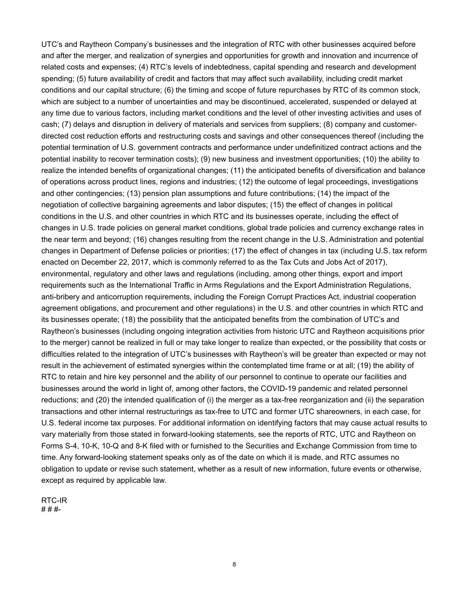UTC's and Raytheon Company's businesses and the integration of RTC with other businesses acquired before and after the merger, and realization of synergies and opportunities for growth and innovation and incurrence of related costs and expenses; (4) RTC's levels of indebtedness, capital spending and research and development spending; (5) future availability of credit and factors that may affect such availability, including credit market conditions and our capital structure; (6) the timing and scope of future repurchases by RTC of its common stock, which are subject to a number of uncertainties and may be discontinued, accelerated, suspended or delayed at any time due to various factors, including market conditions and the level of other investing activities and uses of cash; (7) delays and disruption in delivery of materials and services from suppliers; (8) company and customerdirected cost reduction efforts and restructuring costs and savings and other consequences thereof (including the potential termination of U.S. government contracts and performance under undefinitized contract actions and the potential inability to recover termination costs); (9) new business and investment opportunities; (10) the ability to realize the intended benefits of organizational changes; (11) the anticipated benefits of diversification and balance of operations across product lines, regions and industries; (12) the outcome of legal proceedings, investigations and other contingencies; (13) pension plan assumptions and future contributions; (14) the impact of the negotiation of collective bargaining agreements and labor disputes; (15) the effect of changes in political conditions in the U.S. and other countries in which RTC and its businesses operate, including the effect of changes in U.S. trade policies on general market conditions, global trade policies and currency exchange rates in the near term and beyond; (16) changes resulting from the recent change in the U.S. Administration and potential changes in Department of Defense policies or priorities; (17) the effect of changes in tax (including U.S. tax reform enacted on December 22, 2017, which is commonly referred to as the Tax Cuts and Jobs Act of 2017), environmental, regulatory and other laws and regulations (including, among other things, export and import requirements such as the International Traffic in Arms Regulations and the Export Administration Regulations, anti-bribery and anticorruption requirements, including the Foreign Corrupt Practices Act, industrial cooperation agreement obligations, and procurement and other regulations) in the U.S. and other countries in which RTC and its businesses operate; (18) the possibility that the anticipated benefits from the combination of UTC's and Raytheon's businesses (including ongoing integration activities from historic UTC and Raytheon acquisitions prior to the merger) cannot be realized in full or may take longer to realize than expected, or the possibility that costs or difficulties related to the integration of UTC's businesses with Raytheon's will be greater than expected or may not result in the achievement of estimated synergies within the contemplated time frame or at all; (19) the ability of RTC to retain and hire key personnel and the ability of our personnel to continue to operate our facilities and businesses around the world in light of, among other factors, the COVID-19 pandemic and related personnel reductions; and (20) the intended qualification of (i) the merger as a tax-free reorganization and (ii) the separation transactions and other internal restructurings as tax-free to UTC and former UTC shareowners, in each case, for U.S. federal income tax purposes. For additional information on identifying factors that may cause actual results to vary materially from those stated in forward-looking statements, see the reports of RTC, UTC and Raytheon on Forms S-4, 10-K, 10-Q and 8-K filed with or furnished to the Securities and Exchange Commission from time to time. Any forward-looking statement speaks only as of the date on which it is made, and RTC assumes no obligation to update or revise such statement, whether as a result of new information, future events or otherwise, except as required by applicable law.

RTC-IR # # #-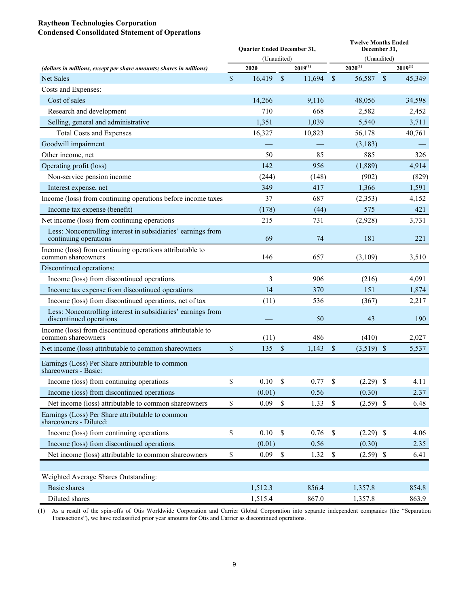### **Raytheon Technologies Corporation Condensed Consolidated Statement of Operations**

|                                                                                         |             | Quarter Ended December 31, |               |              | <b>Twelve Months Ended</b><br>December 31, |              |             |              |  |  |
|-----------------------------------------------------------------------------------------|-------------|----------------------------|---------------|--------------|--------------------------------------------|--------------|-------------|--------------|--|--|
|                                                                                         |             | (Unaudited)                |               |              |                                            | (Unaudited)  |             |              |  |  |
| (dollars in millions, except per share amounts; shares in millions)                     |             | 2020                       |               | $2019^{(1)}$ |                                            | $2020^{(1)}$ |             | $2019^{(1)}$ |  |  |
| <b>Net Sales</b>                                                                        | $\sqrt{\ }$ | 16,419                     | $\sqrt{\ }$   | 11,694       | $\sqrt{\ }$                                | 56,587       | $\sqrt{\ }$ | 45,349       |  |  |
| Costs and Expenses:                                                                     |             |                            |               |              |                                            |              |             |              |  |  |
| Cost of sales                                                                           |             | 14,266                     |               | 9,116        |                                            | 48,056       |             | 34,598       |  |  |
| Research and development                                                                |             | 710                        |               | 668          |                                            | 2,582        |             | 2,452        |  |  |
| Selling, general and administrative                                                     |             | 1,351                      |               | 1,039        |                                            | 5,540        |             | 3,711        |  |  |
| <b>Total Costs and Expenses</b>                                                         |             | 16,327                     |               | 10,823       |                                            | 56,178       |             | 40,761       |  |  |
| Goodwill impairment                                                                     |             |                            |               |              |                                            | (3,183)      |             |              |  |  |
| Other income, net                                                                       |             | 50                         |               | 85           |                                            | 885          |             | 326          |  |  |
| Operating profit (loss)                                                                 |             | 142                        |               | 956          |                                            | (1,889)      |             | 4,914        |  |  |
| Non-service pension income                                                              |             | (244)                      |               | (148)        |                                            | (902)        |             | (829)        |  |  |
| Interest expense, net                                                                   |             | 349                        |               | 417          |                                            | 1,366        |             | 1,591        |  |  |
| Income (loss) from continuing operations before income taxes                            |             | 37                         |               | 687          |                                            | (2, 353)     |             | 4,152        |  |  |
| Income tax expense (benefit)                                                            |             | (178)                      |               | (44)         |                                            | 575          |             | 421          |  |  |
| Net income (loss) from continuing operations                                            |             | 215                        |               | 731          |                                            | (2,928)      |             | 3,731        |  |  |
| Less: Noncontrolling interest in subsidiaries' earnings from<br>continuing operations   |             | 69                         |               | 74           |                                            | 181          |             | 221          |  |  |
| Income (loss) from continuing operations attributable to<br>common shareowners          |             | 146                        |               | 657          |                                            | (3,109)      |             | 3,510        |  |  |
| Discontinued operations:                                                                |             |                            |               |              |                                            |              |             |              |  |  |
| Income (loss) from discontinued operations                                              |             | 3                          |               | 906          |                                            | (216)        |             | 4,091        |  |  |
| Income tax expense from discontinued operations                                         |             | 14                         |               | 370          |                                            | 151          |             | 1,874        |  |  |
| Income (loss) from discontinued operations, net of tax                                  |             | (11)                       |               | 536          |                                            | (367)        |             | 2,217        |  |  |
| Less: Noncontrolling interest in subsidiaries' earnings from<br>discontinued operations |             |                            |               | 50           |                                            | 43           |             | 190          |  |  |
| Income (loss) from discontinued operations attributable to<br>common shareowners        |             | (11)                       |               | 486          |                                            | (410)        |             | 2,027        |  |  |
| Net income (loss) attributable to common shareowners                                    | \$          | 135                        | $\mathsf{\$}$ | 1,143        | \$                                         | $(3,519)$ \$ |             | 5,537        |  |  |
| Earnings (Loss) Per Share attributable to common<br>shareowners - Basic:                |             |                            |               |              |                                            |              |             |              |  |  |
| Income (loss) from continuing operations                                                | \$          | $0.10\  \  \,$ \$          |               | 0.77S        |                                            | $(2.29)$ \$  |             | 4.11         |  |  |
| Income (loss) from discontinued operations                                              |             | (0.01)                     |               | 0.56         |                                            | (0.30)       |             | 2.37         |  |  |
| Net income (loss) attributable to common shareowners                                    | \$          | 0.09                       | $\mathbb S$   | $1.33$ \$    |                                            | $(2.59)$ \$  |             | 6.48         |  |  |
| Earnings (Loss) Per Share attributable to common<br>shareowners - Diluted:              |             |                            |               |              |                                            |              |             |              |  |  |
| Income (loss) from continuing operations                                                | \$          | 0.10                       | $\mathbb{S}$  | 0.76         | $\mathbb S$                                | $(2.29)$ \$  |             | 4.06         |  |  |
| Income (loss) from discontinued operations                                              |             | (0.01)                     |               | 0.56         |                                            | (0.30)       |             | 2.35         |  |  |
| Net income (loss) attributable to common shareowners                                    | \$          | 0.09                       | $\mathbb{S}$  | 1.32         | $\mathbb S$                                | $(2.59)$ \$  |             | 6.41         |  |  |
|                                                                                         |             |                            |               |              |                                            |              |             |              |  |  |
| Weighted Average Shares Outstanding:                                                    |             |                            |               |              |                                            |              |             |              |  |  |
| <b>Basic</b> shares                                                                     |             | 1,512.3                    |               | 856.4        |                                            | 1,357.8      |             | 854.8        |  |  |
| Diluted shares                                                                          |             | 1,515.4                    |               | 867.0        |                                            | 1,357.8      |             | 863.9        |  |  |

(1) As a result of the spin-offs of Otis Worldwide Corporation and Carrier Global Corporation into separate independent companies (the "Separation Transactions"), we have reclassified prior year amounts for Otis and Carrier as discontinued operations.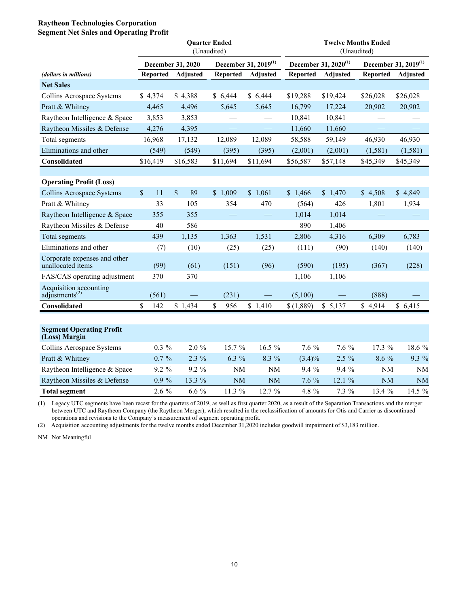#### **Raytheon Technologies Corporation Segment Net Sales and Operating Profit**

|                                                      |                 |                          | <b>Ouarter Ended</b> |                                  |                                  |                 |                 |                                  |
|------------------------------------------------------|-----------------|--------------------------|----------------------|----------------------------------|----------------------------------|-----------------|-----------------|----------------------------------|
|                                                      |                 |                          | (Unaudited)          |                                  |                                  | (Unaudited)     |                 |                                  |
|                                                      |                 | <b>December 31, 2020</b> |                      | December 31, 2019 <sup>(1)</sup> | December 31, 2020 <sup>(1)</sup> |                 |                 | December 31, 2019 <sup>(1)</sup> |
| (dollars in millions)                                | <b>Reported</b> | Adjusted                 | <b>Reported</b>      | <b>Adjusted</b>                  | <b>Reported</b>                  | <b>Adjusted</b> | <b>Reported</b> | <b>Adjusted</b>                  |
| <b>Net Sales</b>                                     |                 |                          |                      |                                  |                                  |                 |                 |                                  |
| Collins Aerospace Systems                            | \$4,374         | \$4,388                  | \$6,444              | \$6,444                          | \$19,288                         | \$19,424        | \$26,028        | \$26,028                         |
| Pratt & Whitney                                      | 4,465           | 4,496                    | 5,645                | 5,645                            | 16,799                           | 17,224          | 20,902          | 20,902                           |
| Raytheon Intelligence & Space                        | 3,853           | 3,853                    |                      |                                  | 10,841                           | 10,841          |                 |                                  |
| Raytheon Missiles & Defense                          | 4,276           | 4,395                    |                      |                                  | 11,660                           | 11,660          |                 |                                  |
| Total segments                                       | 16,968          | 17,132                   | 12,089               | 12,089                           | 58,588                           | 59,149          | 46,930          | 46,930                           |
| Eliminations and other                               | (549)           | (549)                    | (395)                | (395)                            | (2,001)                          | (2,001)         | (1, 581)        | (1, 581)                         |
| Consolidated                                         | \$16,419        | \$16,583                 | \$11,694             | \$11,694                         | \$56,587                         | \$57,148        | \$45,349        | \$45,349                         |
|                                                      |                 |                          |                      |                                  |                                  |                 |                 |                                  |
| <b>Operating Profit (Loss)</b>                       |                 |                          |                      |                                  |                                  |                 |                 |                                  |
| Collins Aerospace Systems                            | \$<br>11        | \$<br>89                 | \$1,009              | \$1,061                          | \$1,466                          | \$1,470         | \$4,508         | \$4,849                          |
| Pratt & Whitney                                      | 33              | 105                      | 354                  | 470                              | (564)                            | 426             | 1,801           | 1,934                            |
| Raytheon Intelligence & Space                        | 355             | 355                      |                      |                                  | 1,014                            | 1,014           |                 |                                  |
| Raytheon Missiles & Defense                          | 40              | 586                      |                      |                                  | 890                              | 1,406           |                 |                                  |
| Total segments                                       | 439             | 1,135                    | 1,363                | 1,531                            | 2,806                            | 4,316           | 6,309           | 6,783                            |
| Eliminations and other                               | (7)             | (10)                     | (25)                 | (25)                             | (111)                            | (90)            | (140)           | (140)                            |
| Corporate expenses and other<br>unallocated items    | (99)            | (61)                     | (151)                | (96)                             | (590)                            | (195)           | (367)           | (228)                            |
| FAS/CAS operating adjustment                         | 370             | 370                      |                      | $\overline{\phantom{0}}$         | 1,106                            | 1,106           |                 |                                  |
| Acquisition accounting<br>adjustments <sup>(2)</sup> | (561)           |                          | (231)                |                                  | (5,100)                          |                 | (888)           |                                  |
| Consolidated                                         | \$<br>142       | \$1,434                  | \$<br>956            | \$1,410                          | \$(1,889)                        | \$5,137         | \$4,914         | \$6,415                          |
|                                                      |                 |                          |                      |                                  |                                  |                 |                 |                                  |
| <b>Segment Operating Profit</b><br>(Loss) Margin     |                 |                          |                      |                                  |                                  |                 |                 |                                  |
| Collins Aerospace Systems                            | $0.3\%$         | 2.0 %                    | 15.7 %               | 16.5 %                           | 7.6 %                            | 7.6 %           | 17.3 %          | 18.6 %                           |
| Pratt & Whitney                                      | $0.7 \%$        | $2.3\%$                  | 6.3 %                | 8.3 %                            | $(3.4)\%$                        | $2.5\%$         | 8.6 %           | 9.3 %                            |
| Raytheon Intelligence & Space                        | 9.2 %           | 9.2 %                    | <b>NM</b>            | $\rm{NM}$                        | 9.4 %                            | 9.4%            | <b>NM</b>       | <b>NM</b>                        |
| Raytheon Missiles & Defense                          | $0.9\%$         | 13.3 %                   | <b>NM</b>            | <b>NM</b>                        | 7.6 %                            | 12.1 %          | <b>NM</b>       | <b>NM</b>                        |
| <b>Total segment</b>                                 | 2.6 %           | $6.6\%$                  | 11.3 %               | 12.7 %                           | 4.8 %                            | 7.3 %           | 13.4 %          | 14.5 %                           |

(1) Legacy UTC segments have been recast for the quarters of 2019, as well as first quarter 2020, as a result of the Separation Transactions and the merger between UTC and Raytheon Company (the Raytheon Merger), which resulted in the reclassification of amounts for Otis and Carrier as discontinued operations and revisions to the Company's measurement of segment operating profit.

(2) Acquisition accounting adjustments for the twelve months ended December 31,2020 includes goodwill impairment of \$3,183 million.

NM Not Meaningful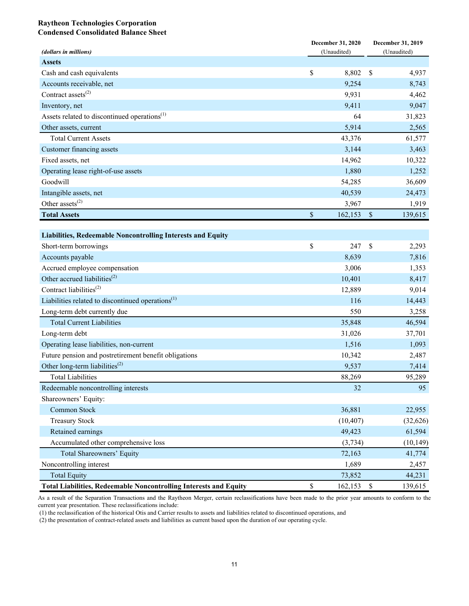#### **Raytheon Technologies Corporation Condensed Consolidated Balance Sheet**

|                                                                          | December 31, 2020 | December 31, 2019 |
|--------------------------------------------------------------------------|-------------------|-------------------|
| (dollars in millions)                                                    | (Unaudited)       | (Unaudited)       |
| <b>Assets</b>                                                            |                   |                   |
| Cash and cash equivalents                                                | \$<br>8,802       | \$<br>4,937       |
| Accounts receivable, net                                                 | 9,254             | 8,743             |
| Contract assets $^{(2)}$                                                 | 9,931             | 4,462             |
| Inventory, net                                                           | 9,411             | 9,047             |
| Assets related to discontinued operations <sup>(1)</sup>                 | 64                | 31,823            |
| Other assets, current                                                    | 5,914             | 2,565             |
| <b>Total Current Assets</b>                                              | 43,376            | 61,577            |
| Customer financing assets                                                | 3,144             | 3,463             |
| Fixed assets, net                                                        | 14,962            | 10,322            |
| Operating lease right-of-use assets                                      | 1,880             | 1,252             |
| Goodwill                                                                 | 54,285            | 36,609            |
| Intangible assets, net                                                   | 40,539            | 24,473            |
| Other assets <sup><math>(2)</math></sup>                                 | 3,967             | 1,919             |
| <b>Total Assets</b>                                                      | \$<br>162,153     | \$<br>139,615     |
|                                                                          |                   |                   |
| <b>Liabilities, Redeemable Noncontrolling Interests and Equity</b>       |                   |                   |
| Short-term borrowings                                                    | \$<br>247         | \$<br>2,293       |
| Accounts payable                                                         | 8,639             | 7,816             |
| Accrued employee compensation                                            | 3,006             | 1,353             |
| Other accrued liabilities <sup><math>(2)</math></sup>                    | 10,401            | 8,417             |
| Contract liabilities <sup>(2)</sup>                                      | 12,889            | 9,014             |
| Liabilities related to discontinued operations <sup>(1)</sup>            | 116               | 14,443            |
| Long-term debt currently due                                             | 550               | 3,258             |
| <b>Total Current Liabilities</b>                                         | 35,848            | 46,594            |
| Long-term debt                                                           | 31,026            | 37,701            |
| Operating lease liabilities, non-current                                 | 1,516             | 1,093             |
| Future pension and postretirement benefit obligations                    | 10,342            | 2,487             |
| Other long-term liabilities <sup>(2)</sup>                               | 9,537             | 7,414             |
| <b>Total Liabilities</b>                                                 | 88,269            | 95,289            |
| Redeemable noncontrolling interests                                      | 32                | 95                |
| Shareowners' Equity:                                                     |                   |                   |
| Common Stock                                                             | 36,881            | 22,955            |
| <b>Treasury Stock</b>                                                    | (10, 407)         | (32, 626)         |
| Retained earnings                                                        | 49,423            | 61,594            |
| Accumulated other comprehensive loss                                     | (3, 734)          | (10, 149)         |
| Total Shareowners' Equity                                                | 72,163            | 41,774            |
| Noncontrolling interest                                                  | 1,689             | 2,457             |
| <b>Total Equity</b>                                                      | 73,852            | 44,231            |
| <b>Total Liabilities, Redeemable Noncontrolling Interests and Equity</b> | \$<br>162,153     | \$<br>139,615     |

As a result of the Separation Transactions and the Raytheon Merger, certain reclassifications have been made to the prior year amounts to conform to the current year presentation. These reclassifications include:

(1) the reclassification of the historical Otis and Carrier results to assets and liabilities related to discontinued operations, and

(2) the presentation of contract-related assets and liabilities as current based upon the duration of our operating cycle.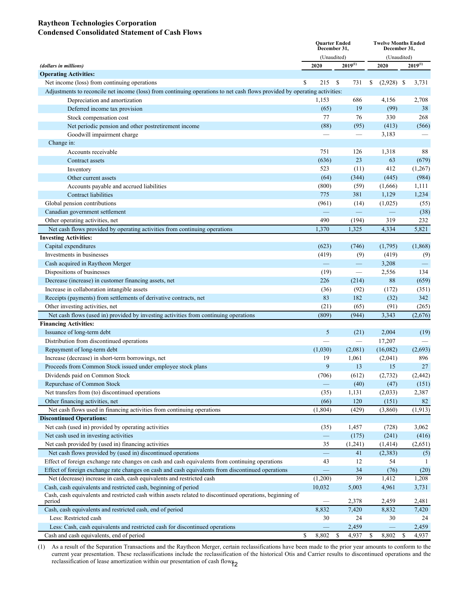#### **Raytheon Technologies Corporation Condensed Consolidated Statement of Cash Flows**

|                                                                                                                           | <b>Quarter Ended</b><br>December 31, |                                 | <b>Twelve Months Ended</b><br>December 31, |             |                |  |
|---------------------------------------------------------------------------------------------------------------------------|--------------------------------------|---------------------------------|--------------------------------------------|-------------|----------------|--|
|                                                                                                                           | (Unaudited)                          |                                 |                                            | (Unaudited) |                |  |
| (dollars in millions)                                                                                                     | 2020                                 | $2019^{(1)}$                    | 2020                                       |             | $2019^{(1)}$   |  |
| <b>Operating Activities:</b>                                                                                              |                                      |                                 |                                            |             |                |  |
| Net income (loss) from continuing operations                                                                              | \$<br>215                            | <sup>\$</sup><br>731            | $(2,928)$ \$<br>\$                         |             | 3,731          |  |
| Adjustments to reconcile net income (loss) from continuing operations to net cash flows provided by operating activities: |                                      |                                 |                                            |             |                |  |
| Depreciation and amortization                                                                                             | 1,153                                | 686                             | 4,156                                      |             | 2,708          |  |
| Deferred income tax provision                                                                                             | (65)                                 | 19                              | (99)                                       |             | 38             |  |
| Stock compensation cost                                                                                                   | 77                                   | 76                              | 330                                        |             | 268            |  |
| Net periodic pension and other postretirement income                                                                      | (88)                                 | (95)                            | (413)                                      |             | (566)          |  |
| Goodwill impairment charge                                                                                                |                                      |                                 | 3,183                                      |             |                |  |
| Change in:                                                                                                                |                                      |                                 |                                            |             |                |  |
| Accounts receivable                                                                                                       | 751                                  | 126                             | 1,318                                      |             | 88             |  |
| Contract assets                                                                                                           | (636)                                | 23                              | 63                                         |             | (679)          |  |
| Inventory                                                                                                                 | 523                                  | (11)                            | 412                                        |             | (1,267)        |  |
| Other current assets                                                                                                      | (64)                                 | (344)                           | (445)                                      |             | (984)          |  |
| Accounts payable and accrued liabilities                                                                                  | (800)                                | (59)                            | (1,666)                                    |             | 1,111          |  |
| Contract liabilities                                                                                                      | 775                                  | 381                             | 1,129                                      |             | 1,234          |  |
| Global pension contributions                                                                                              | (961)                                | (14)                            | (1,025)                                    |             | (55)           |  |
| Canadian government settlement                                                                                            |                                      | $\overline{\phantom{m}}$        | $\overline{\phantom{m}}$                   |             | (38)           |  |
| Other operating activities, net                                                                                           | 490                                  | (194)                           | 319                                        |             | 232            |  |
| Net cash flows provided by operating activities from continuing operations                                                | 1,370                                | 1,325                           | 4,334                                      |             | 5,821          |  |
| <b>Investing Activities:</b>                                                                                              |                                      |                                 |                                            |             |                |  |
| Capital expenditures                                                                                                      | (623)                                | (746)                           | (1,795)                                    |             | (1,868)        |  |
| Investments in businesses                                                                                                 | (419)                                | (9)                             | (419)                                      |             | (9)            |  |
| Cash acquired in Raytheon Merger                                                                                          | $\overline{\phantom{m}}$             | $\overline{\phantom{m}}$        | 3,208                                      |             |                |  |
| Dispositions of businesses                                                                                                | (19)                                 |                                 | 2,556                                      |             | 134            |  |
| Decrease (increase) in customer financing assets, net                                                                     | 226                                  | (214)                           | 88                                         |             | (659)          |  |
| Increase in collaboration intangible assets                                                                               | (36)                                 | (92)                            | (172)                                      |             | (351)          |  |
| Receipts (payments) from settlements of derivative contracts, net                                                         | 83                                   | 182                             | (32)                                       |             | 342            |  |
| Other investing activities, net                                                                                           | (21)                                 | (65)                            | (91)                                       |             | (265)          |  |
| Net cash flows (used in) provided by investing activities from continuing operations                                      | (809)                                | (944)                           | 3,343                                      |             | (2,676)        |  |
| <b>Financing Activities:</b>                                                                                              |                                      |                                 |                                            |             |                |  |
| Issuance of long-term debt                                                                                                | 5                                    | (21)                            | 2,004                                      |             | (19)           |  |
| Distribution from discontinued operations                                                                                 |                                      | $\overbrace{\qquad \qquad }^{}$ | 17,207                                     |             |                |  |
| Repayment of long-term debt                                                                                               | (1,030)                              | (2,081)                         | (16,082)                                   |             | (2,693)        |  |
| Increase (decrease) in short-term borrowings, net                                                                         | 19                                   | 1,061                           | (2,041)                                    |             | 896            |  |
| Proceeds from Common Stock issued under employee stock plans                                                              | 9                                    | 13                              | 15                                         |             | 27             |  |
| Dividends paid on Common Stock                                                                                            | (706)                                | (612)                           | (2,732)                                    |             | (2, 442)       |  |
| Repurchase of Common Stock                                                                                                |                                      | (40)                            | (47)                                       |             | (151)          |  |
| Net transfers from (to) discontinued operations                                                                           | (35)                                 | 1,131                           | (2,033)                                    |             | 2,387          |  |
| Other financing activities, net                                                                                           | (66)                                 | 120                             | (151)                                      |             | 82             |  |
| Net cash flows used in financing activities from continuing operations                                                    | (1, 804)                             | (429)                           | (3,860)                                    |             | (1, 913)       |  |
| <b>Discontinued Operations:</b>                                                                                           |                                      |                                 |                                            |             |                |  |
| Net cash (used in) provided by operating activities                                                                       | (35)                                 | 1,457                           | (728)                                      |             | 3,062          |  |
| Net cash used in investing activities                                                                                     | -                                    | (175)                           | (241)                                      |             | (416)          |  |
| Net cash provided by (used in) financing activities                                                                       | 35                                   | (1,241)                         | (1, 414)                                   |             | (2,651)        |  |
| Net cash flows provided by (used in) discontinued operations                                                              |                                      | 41                              | (2,383)                                    |             | (5)            |  |
| Effect of foreign exchange rate changes on cash and cash equivalents from continuing operations                           | 43                                   | 12                              | 54                                         |             | -1             |  |
| Effect of foreign exchange rate changes on cash and cash equivalents from discontinued operations                         | $\overline{\phantom{0}}$             | 34                              | (76)                                       |             | (20)           |  |
| Net (decrease) increase in cash, cash equivalents and restricted cash                                                     | (1,200)                              | 39                              | 1,412                                      |             | 1,208          |  |
| Cash, cash equivalents and restricted cash, beginning of period                                                           | 10,032                               | 5,003                           | 4,961                                      |             | 3,731          |  |
| Cash, cash equivalents and restricted cash within assets related to discontinued operations, beginning of                 |                                      | 2,378                           | 2,459                                      |             |                |  |
| period<br>Cash, cash equivalents and restricted cash, end of period                                                       | 8,832                                | 7,420                           | 8,832                                      |             | 2,481<br>7,420 |  |
| Less: Restricted cash                                                                                                     | 30                                   | 24                              | 30                                         |             | 24             |  |
| Less: Cash, cash equivalents and restricted cash for discontinued operations                                              |                                      | 2,459                           |                                            |             | 2,459          |  |
| Cash and cash equivalents, end of period                                                                                  | \$<br>8,802                          | \$<br>4,937                     | 8,802<br>\$                                | $\mathbf S$ | 4,937          |  |
|                                                                                                                           |                                      |                                 |                                            |             |                |  |

(1) As a result of the Separation Transactions and the Raytheon Merger, certain reclassifications have been made to the prior year amounts to conform to the current year presentation. These reclassifications include the reclassification of the historical Otis and Carrier results to discontinued operations and the reclassification of lease amortization within our presentation of cash flows<sup>2</sup>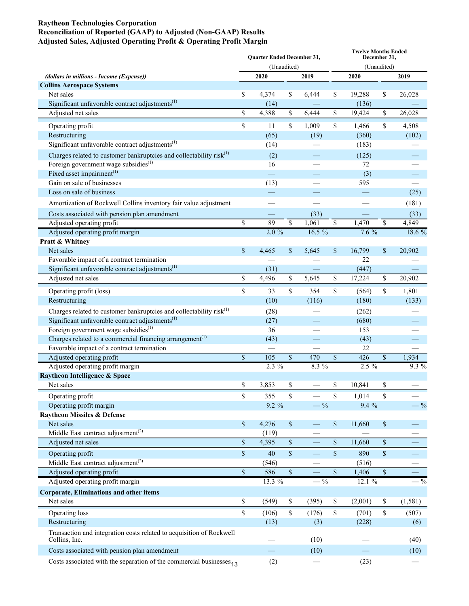#### **Raytheon Technologies Corporation Reconciliation of Reported (GAAP) to Adjusted (Non-GAAP) Results Adjusted Sales, Adjusted Operating Profit & Operating Profit Margin**

|                                                                                                                                          |             | Quarter Ended December 31, |                 |                          | <b>Twelve Months Ended</b><br>December 31, |              |                          |          |  |  |
|------------------------------------------------------------------------------------------------------------------------------------------|-------------|----------------------------|-----------------|--------------------------|--------------------------------------------|--------------|--------------------------|----------|--|--|
|                                                                                                                                          |             | (Unaudited)                |                 |                          | (Unaudited)                                |              |                          |          |  |  |
| (dollars in millions - Income (Expense))                                                                                                 |             | 2020                       |                 | 2019                     |                                            | 2020         |                          | 2019     |  |  |
| <b>Collins Aerospace Systems</b>                                                                                                         |             |                            |                 |                          |                                            |              |                          |          |  |  |
| Net sales                                                                                                                                | \$          | 4,374                      | \$              | 6,444                    | \$                                         | 19,288       | \$                       | 26,028   |  |  |
| Significant unfavorable contract adjustments $^{(1)}$                                                                                    |             | (14)                       |                 |                          |                                            | (136)        |                          |          |  |  |
| Adjusted net sales                                                                                                                       | \$          | 4,388                      | \$              | 6,444                    | \$                                         | 19,424       | \$                       | 26,028   |  |  |
| Operating profit                                                                                                                         | \$          | 11                         | \$              | 1,009                    | \$                                         | 1,466        | \$                       | 4,508    |  |  |
| Restructuring                                                                                                                            |             | (65)                       |                 | (19)                     |                                            | (360)        |                          | (102)    |  |  |
| Significant unfavorable contract adjustments $^{(1)}$                                                                                    |             | (14)                       |                 |                          |                                            | (183)        |                          |          |  |  |
| Charges related to customer bankruptcies and collectability $risk(1)$                                                                    |             | (2)                        |                 |                          |                                            | (125)        |                          |          |  |  |
| Foreign government wage subsidies <sup>(1)</sup>                                                                                         |             | 16                         |                 |                          |                                            | 72           |                          |          |  |  |
| Fixed asset impairment $(1)$                                                                                                             |             |                            |                 |                          |                                            | (3)          |                          |          |  |  |
| Gain on sale of businesses                                                                                                               |             | (13)                       |                 |                          |                                            | 595          |                          |          |  |  |
| Loss on sale of business                                                                                                                 |             |                            |                 |                          |                                            |              |                          | (25)     |  |  |
| Amortization of Rockwell Collins inventory fair value adjustment                                                                         |             |                            |                 |                          |                                            |              |                          | (181)    |  |  |
| Costs associated with pension plan amendment                                                                                             |             |                            |                 | (33)                     |                                            |              |                          | (33)     |  |  |
| Adjusted operating profit                                                                                                                | \$          | 89                         | $\overline{\$}$ | 1,061                    | $\overline{\mathbb{S}}$                    | 1,470        | $\overline{\mathcal{S}}$ | 4,849    |  |  |
| Adjusted operating profit margin                                                                                                         |             | 2.0%                       |                 | $16.5\%$                 |                                            | 7.6%         |                          | 18.6 %   |  |  |
| Pratt & Whitney                                                                                                                          |             |                            |                 |                          |                                            |              |                          |          |  |  |
| Net sales                                                                                                                                | \$          | 4,465                      | \$              | 5,645                    | \$                                         | 16,799       | \$                       | 20,902   |  |  |
| Favorable impact of a contract termination                                                                                               |             |                            |                 |                          |                                            | 22           |                          |          |  |  |
| Significant unfavorable contract adjustments $^{(1)}$                                                                                    |             | (31)                       |                 |                          |                                            | (447)        |                          |          |  |  |
| Adjusted net sales                                                                                                                       | \$          | 4,496                      | \$              | 5,645                    | \$                                         | 17,224       | \$                       | 20,902   |  |  |
| Operating profit (loss)                                                                                                                  | \$          | 33                         | \$              | 354                      | \$                                         | (564)        | \$                       | 1,801    |  |  |
| Restructuring                                                                                                                            |             | (10)                       |                 | (116)                    |                                            | (180)        |                          | (133)    |  |  |
|                                                                                                                                          |             |                            |                 |                          |                                            |              |                          |          |  |  |
| Charges related to customer bankruptcies and collectability risk <sup>(1)</sup><br>Significant unfavorable contract adjustments $^{(1)}$ |             | (28)                       |                 |                          |                                            | (262)        |                          |          |  |  |
| Foreign government wage subsidies <sup>(1)</sup>                                                                                         |             | (27)<br>36                 |                 |                          |                                            | (680)<br>153 |                          |          |  |  |
| Charges related to a commercial financing arrangement <sup>(1)</sup>                                                                     |             | (43)                       |                 |                          |                                            | (43)         |                          |          |  |  |
| Favorable impact of a contract termination                                                                                               |             |                            |                 |                          |                                            | 22           |                          |          |  |  |
| Adjusted operating profit                                                                                                                | $\mathbf S$ | 105                        | \$              | 470                      | \$                                         | 426          | \$                       | 1,934    |  |  |
| Adjusted operating profit margin                                                                                                         |             | $2.3\%$                    |                 | $8.3\%$                  |                                            | $2.5\%$      |                          | $9.3\%$  |  |  |
| Raytheon Intelligence & Space                                                                                                            |             |                            |                 |                          |                                            |              |                          |          |  |  |
| Net sales                                                                                                                                | \$          | 3,853                      | \$              |                          | \$                                         | 10,841       | \$                       |          |  |  |
| Operating profit                                                                                                                         | \$          | 355                        | \$              |                          | \$                                         | 1,014        | \$                       |          |  |  |
| Operating profit margin                                                                                                                  |             | $9.2 \%$                   |                 | $-$ %                    |                                            | $9.4\%$      |                          | $-$ %    |  |  |
| <b>Raytheon Missiles &amp; Defense</b>                                                                                                   |             |                            |                 |                          |                                            |              |                          |          |  |  |
| Net sales                                                                                                                                | \$          | 4,276                      | \$              |                          | $\$$                                       | 11,660       | $\$$                     |          |  |  |
| Middle East contract adjustment <sup>(2)</sup>                                                                                           |             | (119)                      |                 |                          |                                            |              |                          |          |  |  |
| Adjusted net sales                                                                                                                       | \$          | 4,395                      | \$              |                          | $\overline{\mathcal{S}}$                   | 11,660       | $\$$                     |          |  |  |
| Operating profit                                                                                                                         | $\$$        | $40\,$                     | $\$$            | $\overline{\phantom{0}}$ | $\mathbb S$                                | 890          | $\$$                     |          |  |  |
| Middle East contract adjustment <sup>(2)</sup>                                                                                           |             | (546)                      |                 |                          |                                            | (516)        |                          |          |  |  |
| Adjusted operating profit                                                                                                                | \$          | 586                        | $\$$            |                          | $\overline{\mathcal{S}}$                   | 1,406        | $\$$                     |          |  |  |
| Adjusted operating profit margin                                                                                                         |             | 13.3 %                     |                 | $- \frac{9}{6}$          |                                            | 12.1%        |                          | $-$ %    |  |  |
| <b>Corporate, Eliminations and other items</b>                                                                                           |             |                            |                 |                          |                                            |              |                          |          |  |  |
| Net sales                                                                                                                                | \$          | (549)                      | \$              | (395)                    | \$                                         | (2,001)      | \$                       | (1, 581) |  |  |
| Operating loss                                                                                                                           | \$          | (106)                      | \$              | (176)                    | \$                                         | (701)        | \$                       | (507)    |  |  |
| Restructuring                                                                                                                            |             | (13)                       |                 | (3)                      |                                            | (228)        |                          | (6)      |  |  |
| Transaction and integration costs related to acquisition of Rockwell                                                                     |             |                            |                 |                          |                                            |              |                          |          |  |  |
| Collins, Inc.                                                                                                                            |             |                            |                 | (10)                     |                                            |              |                          | (40)     |  |  |
| Costs associated with pension plan amendment                                                                                             |             |                            |                 | (10)                     |                                            |              |                          | (10)     |  |  |
| Costs associated with the separation of the commercial businesses $_{13}$                                                                |             | (2)                        |                 |                          |                                            | (23)         |                          |          |  |  |
|                                                                                                                                          |             |                            |                 |                          |                                            |              |                          |          |  |  |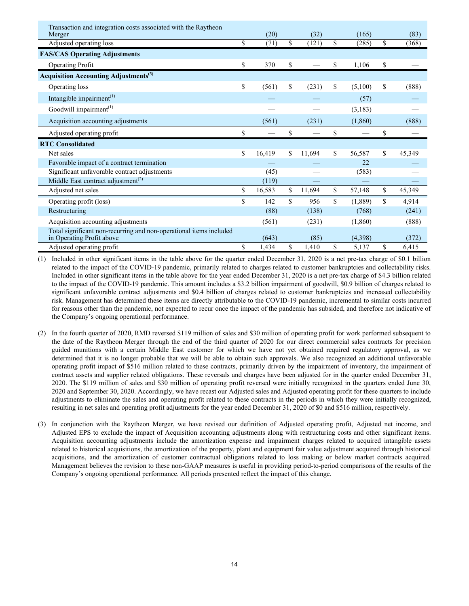| Transaction and integration costs associated with the Raytheon<br>Merger                        | (20)         | (32)         | (165)         | (83)         |
|-------------------------------------------------------------------------------------------------|--------------|--------------|---------------|--------------|
| Adjusted operating loss                                                                         | \$<br>(71)   | \$<br>(121)  | \$<br>(285)   | \$<br>(368)  |
| <b>FAS/CAS Operating Adjustments</b>                                                            |              |              |               |              |
| <b>Operating Profit</b>                                                                         | \$<br>370    | \$           | \$<br>1,106   | \$           |
| <b>Acquisition Accounting Adjustments</b> <sup>(3)</sup>                                        |              |              |               |              |
| Operating loss                                                                                  | \$<br>(561)  | \$<br>(231)  | \$<br>(5,100) | \$<br>(888)  |
| Intangible impairment $(1)$                                                                     |              |              | (57)          |              |
| Goodwill impairment <sup>(1)</sup>                                                              |              |              | (3,183)       |              |
| Acquisition accounting adjustments                                                              | (561)        | (231)        | (1,860)       | (888)        |
| Adjusted operating profit                                                                       | \$           | \$           | \$            | \$           |
| <b>RTC Consolidated</b>                                                                         |              |              |               |              |
| Net sales                                                                                       | \$<br>16,419 | \$<br>11,694 | \$<br>56,587  | \$<br>45,349 |
| Favorable impact of a contract termination                                                      |              |              | 22            |              |
| Significant unfavorable contract adjustments                                                    | (45)         |              | (583)         |              |
| Middle East contract adjustment <sup>(2)</sup>                                                  | (119)        |              |               |              |
| Adjusted net sales                                                                              | \$<br>16,583 | \$<br>11,694 | \$<br>57,148  | \$<br>45,349 |
| Operating profit (loss)                                                                         | \$<br>142    | \$<br>956    | \$<br>(1,889) | \$<br>4,914  |
| Restructuring                                                                                   | (88)         | (138)        | (768)         | (241)        |
| Acquisition accounting adjustments                                                              | (561)        | (231)        | (1,860)       | (888)        |
| Total significant non-recurring and non-operational items included<br>in Operating Profit above | (643)        | (85)         | (4,398)       | (372)        |
| Adjusted operating profit                                                                       | \$<br>1,434  | \$<br>1,410  | \$<br>5,137   | \$<br>6,415  |

(1) Included in other significant items in the table above for the quarter ended December 31, 2020 is a net pre-tax charge of \$0.1 billion related to the impact of the COVID-19 pandemic, primarily related to charges related to customer bankruptcies and collectability risks. Included in other significant items in the table above for the year ended December 31, 2020 is a net pre-tax charge of \$4.3 billion related to the impact of the COVID-19 pandemic. This amount includes a \$3.2 billion impairment of goodwill, \$0.9 billion of charges related to significant unfavorable contract adjustments and \$0.4 billion of charges related to customer bankruptcies and increased collectability risk. Management has determined these items are directly attributable to the COVID-19 pandemic, incremental to similar costs incurred for reasons other than the pandemic, not expected to recur once the impact of the pandemic has subsided, and therefore not indicative of the Company's ongoing operational performance.

- (2) In the fourth quarter of 2020, RMD reversed \$119 million of sales and \$30 million of operating profit for work performed subsequent to the date of the Raytheon Merger through the end of the third quarter of 2020 for our direct commercial sales contracts for precision guided munitions with a certain Middle East customer for which we have not yet obtained required regulatory approval, as we determined that it is no longer probable that we will be able to obtain such approvals. We also recognized an additional unfavorable operating profit impact of \$516 million related to these contracts, primarily driven by the impairment of inventory, the impairment of contract assets and supplier related obligations. These reversals and charges have been adjusted for in the quarter ended December 31, 2020. The \$119 million of sales and \$30 million of operating profit reversed were initially recognized in the quarters ended June 30, 2020 and September 30, 2020. Accordingly, we have recast our Adjusted sales and Adjusted operating profit for these quarters to include adjustments to eliminate the sales and operating profit related to these contracts in the periods in which they were initially recognized, resulting in net sales and operating profit adjustments for the year ended December 31, 2020 of \$0 and \$516 million, respectively.
- (3) In conjunction with the Raytheon Merger, we have revised our definition of Adjusted operating profit, Adjusted net income, and Adjusted EPS to exclude the impact of Acquisition accounting adjustments along with restructuring costs and other significant items. Acquisition accounting adjustments include the amortization expense and impairment charges related to acquired intangible assets related to historical acquisitions, the amortization of the property, plant and equipment fair value adjustment acquired through historical acquisitions, and the amortization of customer contractual obligations related to loss making or below market contracts acquired. Management believes the revision to these non-GAAP measures is useful in providing period-to-period comparisons of the results of the Company's ongoing operational performance. All periods presented reflect the impact of this change.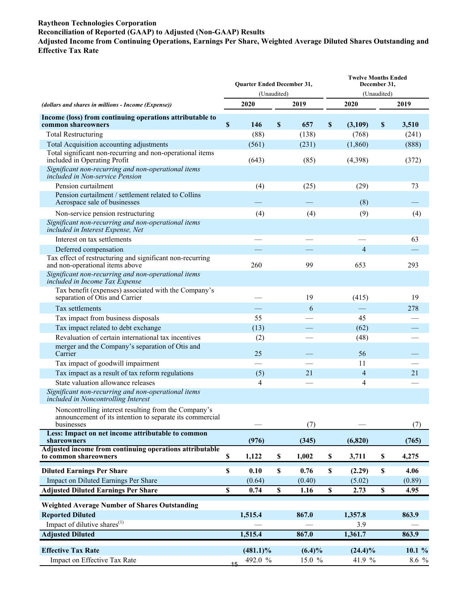#### **Raytheon Technologies Corporation Reconciliation of Reported (GAAP) to Adjusted (Non-GAAP) Results Adjusted Income from Continuing Operations, Earnings Per Share, Weighted Average Diluted Shares Outstanding and Effective Tax Rate**

|                                                                                                                                | Quarter Ended December 31,<br>(Unaudited) |               |    |           |                           | <b>Twelve Months Ended</b><br>December 31,<br>(Unaudited) |                           |        |  |
|--------------------------------------------------------------------------------------------------------------------------------|-------------------------------------------|---------------|----|-----------|---------------------------|-----------------------------------------------------------|---------------------------|--------|--|
| (dollars and shares in millions - Income (Expense))                                                                            | 2020<br>2019                              |               |    |           | 2020                      |                                                           |                           | 2019   |  |
| Income (loss) from continuing operations attributable to<br>common shareowners                                                 | \$                                        | 146           | \$ | 657       | $\boldsymbol{\mathsf{S}}$ | (3,109)                                                   | $\boldsymbol{\mathsf{S}}$ | 3,510  |  |
| <b>Total Restructuring</b>                                                                                                     |                                           | (88)          |    | (138)     |                           | (768)                                                     |                           | (241)  |  |
| Total Acquisition accounting adjustments                                                                                       |                                           | (561)         |    | (231)     |                           | (1,860)                                                   |                           | (888)  |  |
| Total significant non-recurring and non-operational items<br>included in Operating Profit                                      |                                           | (643)         |    | (85)      |                           | (4,398)                                                   |                           | (372)  |  |
| Significant non-recurring and non-operational items<br>included in Non-service Pension                                         |                                           |               |    |           |                           |                                                           |                           |        |  |
| Pension curtailment                                                                                                            |                                           | (4)           |    | (25)      |                           | (29)                                                      |                           | 73     |  |
| Pension curtailment / settlement related to Collins<br>Aerospace sale of businesses                                            |                                           |               |    |           |                           | (8)                                                       |                           |        |  |
| Non-service pension restructuring                                                                                              |                                           | (4)           |    | (4)       |                           | (9)                                                       |                           | (4)    |  |
| Significant non-recurring and non-operational items<br>included in Interest Expense, Net                                       |                                           |               |    |           |                           |                                                           |                           |        |  |
| Interest on tax settlements                                                                                                    |                                           |               |    |           |                           |                                                           |                           | 63     |  |
| Deferred compensation                                                                                                          |                                           |               |    |           |                           | 4                                                         |                           |        |  |
| Tax effect of restructuring and significant non-recurring<br>and non-operational items above                                   |                                           | 260           |    | 99        |                           | 653                                                       |                           | 293    |  |
| Significant non-recurring and non-operational items<br>included in Income Tax Expense                                          |                                           |               |    |           |                           |                                                           |                           |        |  |
| Tax benefit (expenses) associated with the Company's<br>separation of Otis and Carrier                                         |                                           |               |    | 19        |                           | (415)                                                     |                           | 19     |  |
| Tax settlements                                                                                                                |                                           |               |    | 6         |                           |                                                           |                           | 278    |  |
| Tax impact from business disposals                                                                                             |                                           | 55            |    |           |                           | 45                                                        |                           |        |  |
| Tax impact related to debt exchange                                                                                            |                                           | (13)          |    |           |                           | (62)                                                      |                           |        |  |
| Revaluation of certain international tax incentives                                                                            | (2)                                       |               |    |           |                           | (48)                                                      |                           |        |  |
| merger and the Company's separation of Otis and<br>Carrier                                                                     |                                           | 25            |    |           |                           | 56                                                        |                           |        |  |
| Tax impact of goodwill impairment                                                                                              |                                           |               |    |           |                           | 11                                                        |                           |        |  |
| Tax impact as a result of tax reform regulations                                                                               |                                           | (5)           |    | 21        |                           | $\overline{4}$                                            |                           | 21     |  |
| State valuation allowance releases                                                                                             |                                           | 4             |    |           |                           | 4                                                         |                           |        |  |
| Significant non-recurring and non-operational items<br>included in Noncontrolling Interest                                     |                                           |               |    |           |                           |                                                           |                           |        |  |
| Noncontrolling interest resulting from the Company's<br>announcement of its intention to separate its commercial<br>businesses |                                           |               |    | (7)       |                           |                                                           |                           | (7)    |  |
| Less: Impact on net income attributable to common<br>shareowners                                                               |                                           | (976)         |    | (345)     |                           | (6, 820)                                                  |                           | (765)  |  |
| Adjusted income from continuing operations attributable<br>to common shareowners                                               | $\mathbb S$                               | 1,122         | \$ | 1,002     | $\mathbb S$               | 3,711                                                     | \$                        | 4,275  |  |
| <b>Diluted Earnings Per Share</b>                                                                                              | $\mathbb S$                               | 0.10          | \$ | 0.76      | \$                        | (2.29)                                                    | $\mathbb S$               | 4.06   |  |
| Impact on Diluted Earnings Per Share                                                                                           |                                           | (0.64)        |    | (0.40)    |                           | (5.02)                                                    |                           | (0.89) |  |
| <b>Adjusted Diluted Earnings Per Share</b>                                                                                     | \$                                        | 0.74          | \$ | 1.16      | \$                        | 2.73                                                      | \$                        | 4.95   |  |
| <b>Weighted Average Number of Shares Outstanding</b>                                                                           |                                           |               |    |           |                           |                                                           |                           |        |  |
| <b>Reported Diluted</b>                                                                                                        |                                           | 1,515.4       |    | 867.0     |                           | 1,357.8                                                   |                           | 863.9  |  |
| Impact of dilutive shares <sup>(1)</sup>                                                                                       |                                           |               |    |           |                           | 3.9                                                       |                           |        |  |
| <b>Adjusted Diluted</b>                                                                                                        |                                           | 1,515.4       |    | 867.0     |                           | 1,361.7                                                   |                           | 863.9  |  |
| <b>Effective Tax Rate</b>                                                                                                      |                                           | $(481.1)\%$   |    | $(6.4)\%$ |                           | $(24.4)\%$                                                |                           | 10.1 % |  |
| Impact on Effective Tax Rate                                                                                                   |                                           | 492.0 %<br>15 |    | 15.0 %    |                           | 41.9 %                                                    |                           | 8.6 %  |  |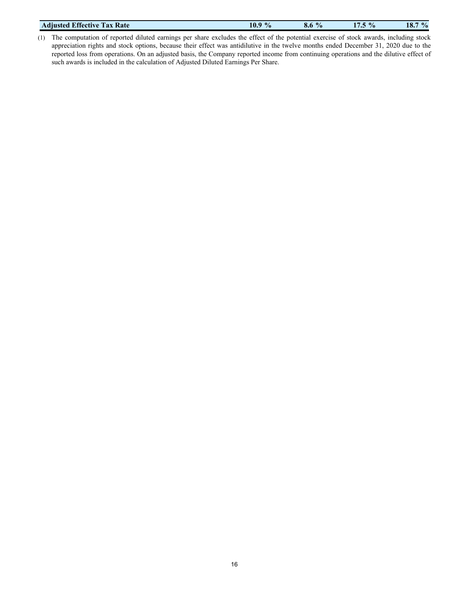| <b>Tax Rate</b>           | $\frac{1}{2}$ | $\frac{1}{2}$ | $\frac{1}{2}$ | $\frac{0}{0}$ |
|---------------------------|---------------|---------------|---------------|---------------|
| <b>Adjusted Effective</b> | 10.9          | 0.0           |               | 10.           |
|                           |               |               |               |               |

(1) The computation of reported diluted earnings per share excludes the effect of the potential exercise of stock awards, including stock appreciation rights and stock options, because their effect was antidilutive in the twelve months ended December 31, 2020 due to the reported loss from operations. On an adjusted basis, the Company reported income from continuing operations and the dilutive effect of such awards is included in the calculation of Adjusted Diluted Earnings Per Share.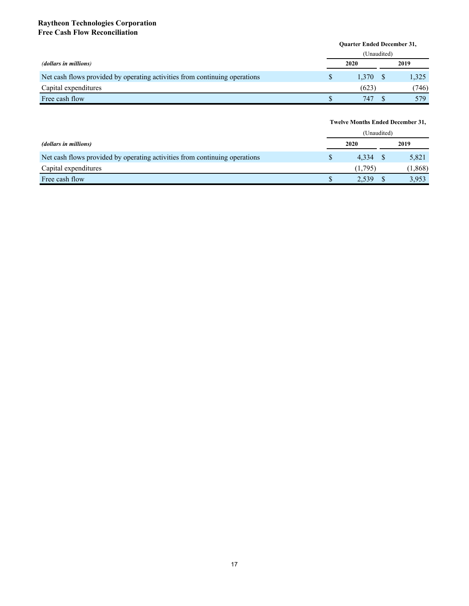#### **Raytheon Technologies Corporation Free Cash Flow Reconciliation**

|                                                                            | <b>Ouarter Ended December 31,</b> |             |      |       |  |  |
|----------------------------------------------------------------------------|-----------------------------------|-------------|------|-------|--|--|
|                                                                            |                                   | (Unaudited) |      |       |  |  |
| (dollars in millions)                                                      | 2020                              |             | 2019 |       |  |  |
| Net cash flows provided by operating activities from continuing operations |                                   | 1.370       |      | 1,325 |  |  |
| Capital expenditures                                                       |                                   | (623)       |      | (746) |  |  |
| Free cash flow                                                             |                                   | 747         |      | 579   |  |  |

# **Twelve Months Ended December 31,**

|                                                                            | (Unaudited) |         |  |         |
|----------------------------------------------------------------------------|-------------|---------|--|---------|
| (dollars in millions)                                                      |             | 2020    |  | 2019    |
| Net cash flows provided by operating activities from continuing operations |             | 4.334   |  | 5,821   |
| Capital expenditures                                                       |             | (1.795) |  | (1,868) |
| Free cash flow                                                             |             | 2.539   |  | 3,953   |